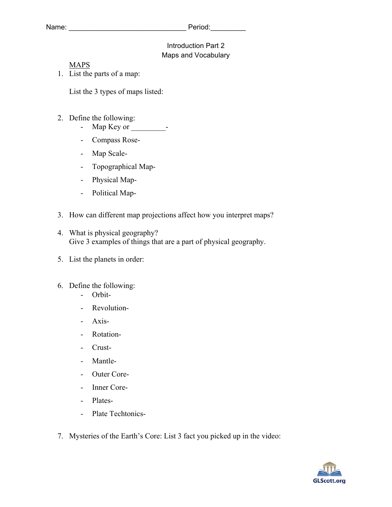## Introduction Part 2 Maps and Vocabulary

## MAPS

1. List the parts of a map:

List the 3 types of maps listed:

- 2. Define the following:
	- Map Key or  $-$
	- Compass Rose-
	- Map Scale-
	- Topographical Map-
	- Physical Map-
	- Political Map-
- 3. How can different map projections affect how you interpret maps?
- 4. What is physical geography? Give 3 examples of things that are a part of physical geography.
- 5. List the planets in order:
- 6. Define the following:
	- Orbit-
	- Revolution-
	- Axis-
	- Rotation-
	- Crust-
	- Mantle-
	- Outer Core-
	- Inner Core-
	- Plates-
	- Plate Techtonics-
- 7. Mysteries of the Earth's Core: List 3 fact you picked up in the video: